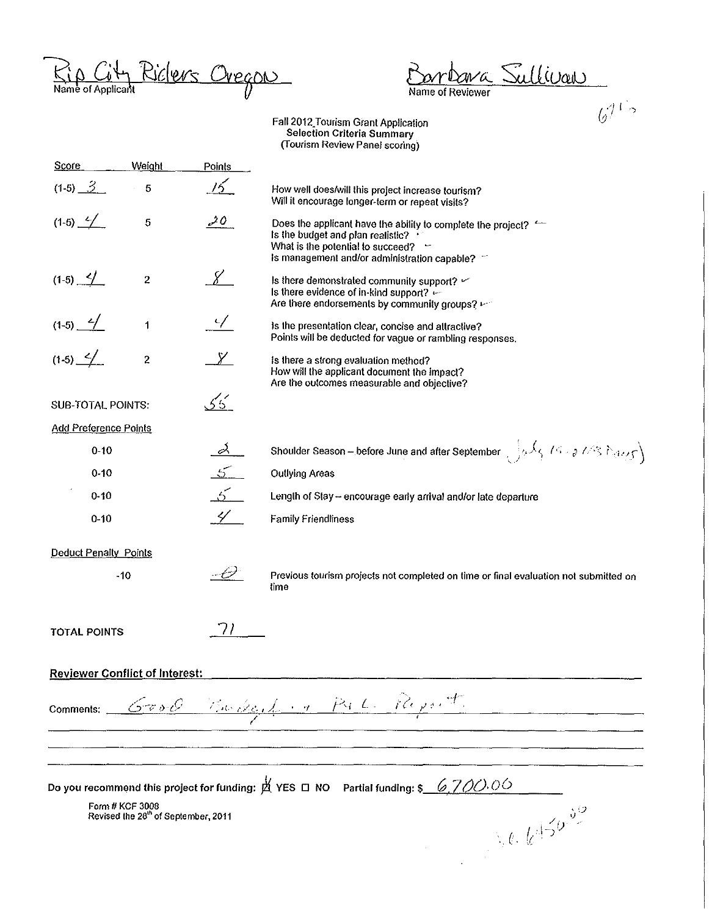Rio City Riclers Oregon

ava Sullivan  $\cdot \mathbb{C}$ 

Name of Reviewer

 $6712$ 

Fall 2012 Tourism Grant Application<br>Selection Criteria Summary<br>Tourism Review Panel scoring)

| Score                        | Weight                                                             | Points          |                                                                                                                                                                                                           |
|------------------------------|--------------------------------------------------------------------|-----------------|-----------------------------------------------------------------------------------------------------------------------------------------------------------------------------------------------------------|
| $(1-5)$ $3$                  | 5                                                                  | 15              | How well does/will this project increase tourism?<br>Will it encourage longer-term or repeat visits?                                                                                                      |
| $(1-5)$ $-/-$                | 5                                                                  | $20^{-7}$       | Does the applicant have the ability to complete the project? $\leftarrow$<br>Is the budget and plan realistic? .<br>What is the potential to succeed? $-$<br>Is management and/or administration capable? |
| $(1-5)$ $4$                  | $\boldsymbol{2}$                                                   | $\chi$          | Is there demonstrated community support? $\leq$<br>Is there evidence of in-kind support?<br>Are there endorsements by community groups?                                                                   |
| $(1-5)$ $-4$                 | 1                                                                  | $\sqrt{ }$      | is the presentation clear, concise and attractive?<br>Points will be deducted for vague or rambling responses.                                                                                            |
| $(1-5)$ $-/-$                | $\bf 2$                                                            | $\chi$          | Is there a strong evaluation method?<br>How will the applicant document the impact?<br>Are the outcomes measurable and objective?                                                                         |
| <b>SUB-TOTAL POINTS:</b>     |                                                                    | 55              |                                                                                                                                                                                                           |
| <b>Add Preference Points</b> |                                                                    |                 |                                                                                                                                                                                                           |
| $0 - 10$                     |                                                                    | $\alpha$        | Shoulder Season - before June and after September $\frac{1}{2}a\sqrt{3}$ / $\frac{1}{2}$ / $\frac{2}{3}$ / $\frac{1}{2}a\sqrt{3}$                                                                         |
| $0 - 10$                     |                                                                    | 5 <sup>2</sup>  | <b>Outlying Areas</b>                                                                                                                                                                                     |
| $0 - 10$                     |                                                                    | $5^{\sim}$      | Length of Stay - encourage early arrival and/or late departure                                                                                                                                            |
| $0 - 10$                     |                                                                    | $\mathscr{L}^-$ | <b>Family Friendliness</b>                                                                                                                                                                                |
| <b>Deduct Penalty Points</b> |                                                                    |                 |                                                                                                                                                                                                           |
|                              | $-10$                                                              |                 | Previous tourism projects not completed on time or final evaluation not submitted on<br>time                                                                                                              |
| <b>TOTAL POINTS</b>          |                                                                    |                 |                                                                                                                                                                                                           |
|                              | <b>Reviewer Conflict of Interest:</b>                              |                 |                                                                                                                                                                                                           |
| Comments:                    | $\mathcal{L}$ vol $\mathcal{C}$                                    |                 | Burded in Pate Report.                                                                                                                                                                                    |
|                              |                                                                    |                 |                                                                                                                                                                                                           |
|                              |                                                                    |                 | Do you recommend this project for funding: $\stackrel{M}{\cancel{\triangle}}$ YES $\Box$ NO Partial funding: \$<br>6.700.00                                                                               |
|                              | Form # KCF 3008<br>Revised the 28 <sup>th</sup> of September, 2011 |                 |                                                                                                                                                                                                           |
|                              |                                                                    |                 | $\int_{\mathbb{R}^2} e \cdot k^{4/5} e^{-s^{1/2}}$                                                                                                                                                        |
|                              |                                                                    |                 |                                                                                                                                                                                                           |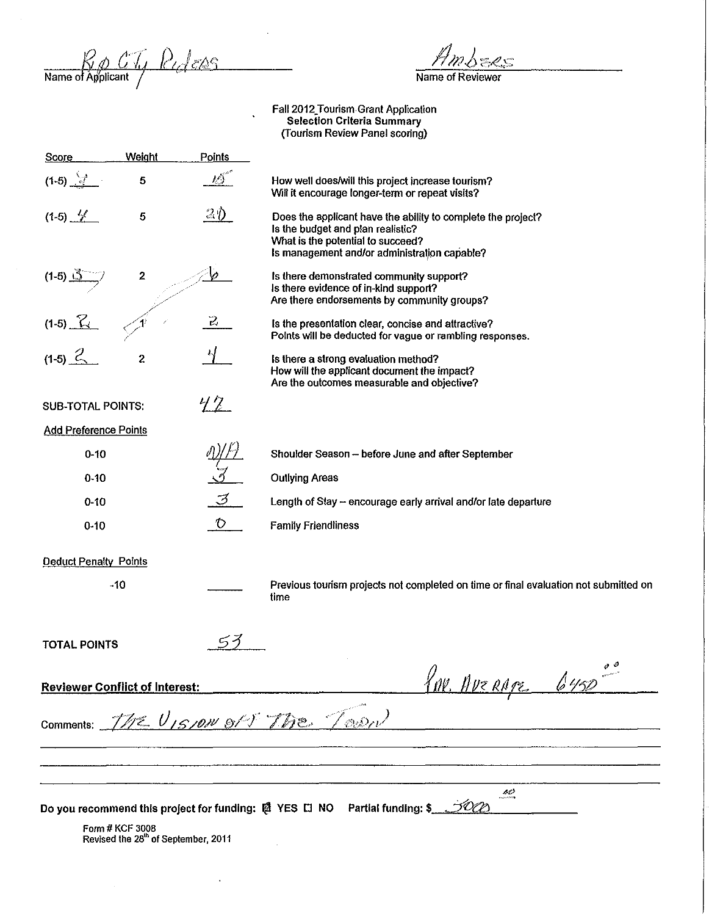$R_{\phi}$  CT,  $R_{d}$  ens

 $\mathbb{R}^2$ 

Name of Reviewer

Faii2012\_Tourism.Grant Application Selection Criteria Summary (fourism Review Panel scoring)

 $\ddot{\phantom{1}}$ 

 $\hat{\textbf{z}}$ 

| Score                                                     | Weight                                                             | <b>Points</b>      |                                                                                                                                                                                        |
|-----------------------------------------------------------|--------------------------------------------------------------------|--------------------|----------------------------------------------------------------------------------------------------------------------------------------------------------------------------------------|
| $(1-5)$                                                   | 5                                                                  | $\iota\mathcal{I}$ | How well does/will this project increase tourism?<br>Will it encourage longer-term or repeat visits?                                                                                   |
| $(1-5)$ $\frac{1}{2}$                                     | 5                                                                  | $20^{\circ}$       | Does the applicant have the ability to complete the project?<br>Is the budget and plan realistic?<br>What is the potential to succeed?<br>Is management and/or administration capable? |
| $(1-5)$ $\frac{1}{2}$                                     | 2                                                                  |                    | Is there demonstrated community support?<br>Is there evidence of in-kind support?<br>Are there endorsements by community groups?                                                       |
| $(1-5)$ $\frac{7}{11}$                                    |                                                                    | 2                  | Is the presentation clear, concise and attractive?<br>Points will be deducted for vague or rambling responses.                                                                         |
| $(1-5)$ 2                                                 | $\mathbf 2$                                                        |                    | Is there a strong evaluation method?<br>How will the applicant document the impact?<br>Are the outcomes measurable and objective?                                                      |
| <b>SUB-TOTAL POINTS:</b>                                  |                                                                    | $42-$              |                                                                                                                                                                                        |
| <b>Add Preference Points</b>                              |                                                                    |                    |                                                                                                                                                                                        |
| $0 - 10$                                                  |                                                                    |                    | Shoulder Season - before June and after September                                                                                                                                      |
| $0 - 10$                                                  |                                                                    |                    | <b>Outlying Areas</b>                                                                                                                                                                  |
| $0 - 10$                                                  |                                                                    | 3                  | Length of Stay - encourage early arrival and/or late departure                                                                                                                         |
| $0-10$                                                    |                                                                    | $\mathcal{O}$      | <b>Family Friendliness</b>                                                                                                                                                             |
| <b>Deduct Penalty Points</b>                              |                                                                    |                    |                                                                                                                                                                                        |
|                                                           | $-10$                                                              |                    | Previous tourism projects not completed on time or final evaluation not submitted on<br>time                                                                                           |
| <b>TOTAL POINTS</b>                                       |                                                                    | 53                 |                                                                                                                                                                                        |
| KN. Average 6450<br><b>Reviewer Conflict of Interest:</b> |                                                                    |                    |                                                                                                                                                                                        |
|                                                           |                                                                    |                    | comments: The UISION of & The Town                                                                                                                                                     |
|                                                           |                                                                    |                    |                                                                                                                                                                                        |
|                                                           |                                                                    |                    | se                                                                                                                                                                                     |
|                                                           |                                                                    |                    | Do you recommend this project for funding: 图 YES □ NO Partial funding: \$                                                                                                              |
|                                                           | Form # KCF 3008<br>Revised the 28 <sup>th</sup> of September, 2011 |                    |                                                                                                                                                                                        |
|                                                           |                                                                    |                    |                                                                                                                                                                                        |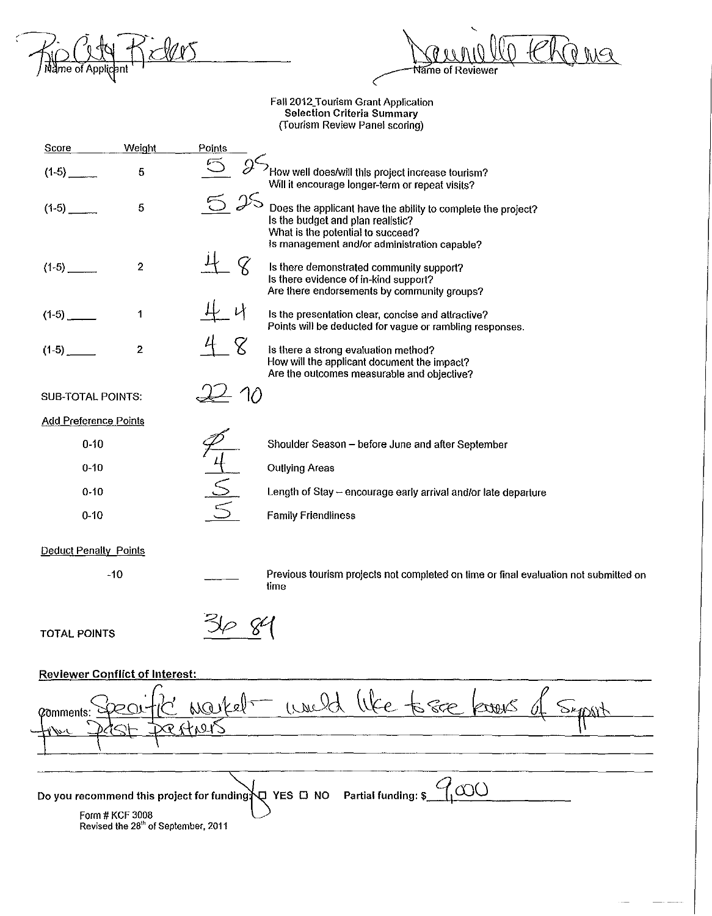<u>ilers</u> MO (144

Walle Changes **ame of Reviewer** 

 $\overline{\phantom{a}}$ 

-- ----

Faii2012\_Tourism Grant Application Selection Criteria Summary (Tourism Review Panel scoring)

| Score                                                                                    | <b>Weight</b>           | Points                                                                                                                                                                                       |  |
|------------------------------------------------------------------------------------------|-------------------------|----------------------------------------------------------------------------------------------------------------------------------------------------------------------------------------------|--|
|                                                                                          | 5                       | How well does/will this project increase tourism?<br>Will it encourage longer-term or repeat visits?                                                                                         |  |
| $(1-5)$                                                                                  | 5                       | 25<br>Does the applicant have the ability to complete the project?<br>Is the budget and plan realistic?<br>What is the potential to succeed?<br>Is management and/or administration capable? |  |
| $(1-5)$                                                                                  | $\overline{\mathbf{c}}$ | Is there demonstrated community support?<br>Is there evidence of in-kind support?<br>Are there endorsements by community groups?                                                             |  |
|                                                                                          | 1                       | Is the presentation clear, concise and attractive?<br>Points will be deducted for vague or rambling responses.                                                                               |  |
| $(1-5)$                                                                                  | $\overline{2}$          | Is there a strong evaluation method?<br>How will the applicant document the impact?<br>Are the outcomes measurable and objective?                                                            |  |
| <b>SUB-TOTAL POINTS:</b>                                                                 |                         | 70                                                                                                                                                                                           |  |
| <b>Add Preference Points</b>                                                             |                         |                                                                                                                                                                                              |  |
| $0 - 10$                                                                                 |                         | Shoulder Season - before June and after September                                                                                                                                            |  |
| $0 - 10$                                                                                 |                         | <b>Outlying Areas</b>                                                                                                                                                                        |  |
| $0 - 10$                                                                                 |                         | Length of Stay - encourage early arrival and/or late departure                                                                                                                               |  |
| $0 - 10$                                                                                 |                         | <b>Family Friendliness</b>                                                                                                                                                                   |  |
| <b>Deduct Penalty Points</b>                                                             |                         |                                                                                                                                                                                              |  |
|                                                                                          | $-10$                   | Previous tourism projects not completed on time or final evaluation not submitted on<br>time                                                                                                 |  |
| <b>TOTAL POINTS</b>                                                                      |                         |                                                                                                                                                                                              |  |
| <b>Reviewer Conflict of Interest:</b>                                                    |                         |                                                                                                                                                                                              |  |
| world<br>587<br>Markelt<br>@mments:                                                      |                         |                                                                                                                                                                                              |  |
|                                                                                          |                         |                                                                                                                                                                                              |  |
|                                                                                          |                         |                                                                                                                                                                                              |  |
| Partial funding: \$<br>Do you recommend this project for funding $\bigvee$ YES $\Box$ NO |                         |                                                                                                                                                                                              |  |
| Form # KCF 3008<br>Revised the 28 <sup>th</sup> of September, 2011                       |                         |                                                                                                                                                                                              |  |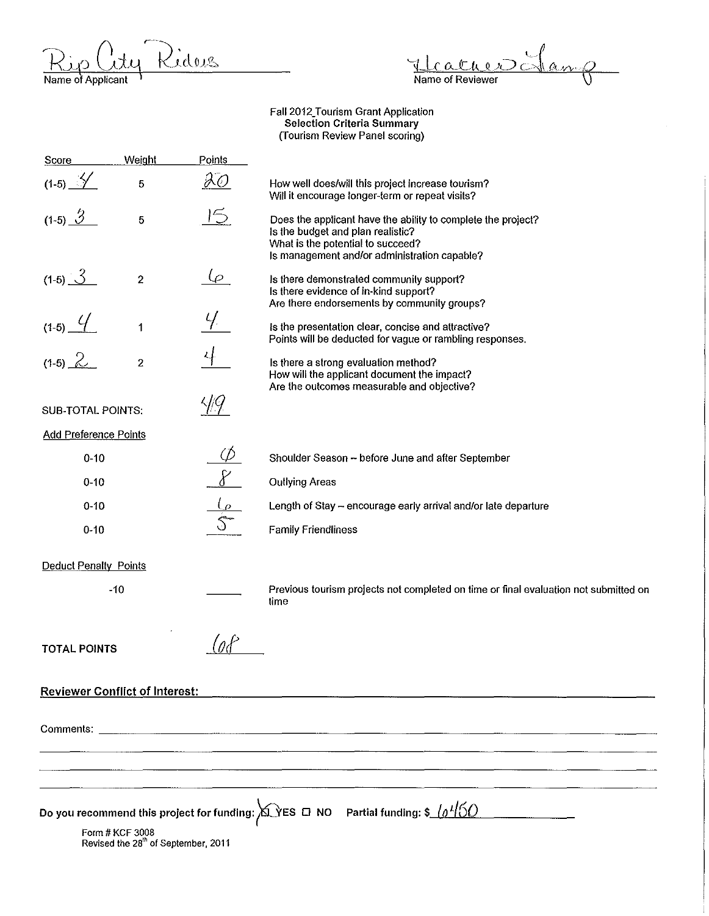<u> Ridus</u>  $\frac{\displaystyle\sum_{i}^{\ }{\displaystyle\sum_{i}^{\ }{\displaystyle\sum_{i}^{\ }{\displaystyle\sum_{i}^{\ }{\displaystyle\sum_{i}^{\ }{\displaystyle\sum_{i}^{\ }{\displaystyle\sum_{i}^{\ }{\displaystyle\sum_{i}^{\ }{\displaystyle\sum_{i}^{\ }{\displaystyle\sum_{i}^{\ }{\displaystyle\sum_{i}^{\ }{\displaystyle\sum_{i}^{\ }{\displaystyle\sum_{i}^{\ }{\displaystyle\sum_{i}^{\ }{\displaystyle\sum_{i}^{\ }{\displaystyle\sum_{i}^{\ }{\displaystyle\sum_{i}^{\ }{\displaystyle\sum_{i}^{\ }{\displaystyle\sum_{i}^{\ }{\displaystyle\sum_{i}^$ 

Healther Jan

Faii2012\_Tourism Grant Application Selection Criteria Summary (Tourism Review Panel scoring)

| <b>Score</b>                          | Weight                                                             | Points                        |                                                                                                                                                                                        |  |
|---------------------------------------|--------------------------------------------------------------------|-------------------------------|----------------------------------------------------------------------------------------------------------------------------------------------------------------------------------------|--|
| $(1-5)$ $\frac{\sqrt{2}}{2}$          | 5                                                                  | $\partial\overline{\partial}$ | How well does/will this project increase tourism?<br>Will it encourage longer-term or repeat visits?                                                                                   |  |
| (1-5) $\frac{3}{3}$                   | 5                                                                  | 15                            | Does the applicant have the ability to complete the project?<br>is the budget and plan realistic?<br>What is the potential to succeed?<br>Is management and/or administration capable? |  |
| $(1-5)$ $3$                           | $\overline{c}$                                                     | $\varphi$                     | Is there demonstrated community support?<br>Is there evidence of in-kind support?<br>Are there endorsements by community groups?                                                       |  |
| $(1-5)$ $4$                           | $\mathbf{1}$                                                       |                               | is the presentation clear, concise and attractive?<br>Points will be deducted for vague or rambling responses.                                                                         |  |
| $(1-5)$ 2                             | $\overline{2}$                                                     |                               | Is there a strong evaluation method?<br>How will the applicant document the impact?<br>Are the outcomes measurable and objective?                                                      |  |
| <b>SUB-TOTAL POINTS:</b>              |                                                                    |                               |                                                                                                                                                                                        |  |
| <b>Add Preference Points</b>          |                                                                    |                               |                                                                                                                                                                                        |  |
| $0 - 10$                              |                                                                    |                               | Shoulder Season - before June and after September                                                                                                                                      |  |
| $0 - 10$                              |                                                                    | $\underline{\mathcal{E}}$     | <b>Outlying Areas</b>                                                                                                                                                                  |  |
| $0 - 10$                              |                                                                    |                               | Length of Stay - encourage early arrival and/or late departure                                                                                                                         |  |
| $0 - 10$                              |                                                                    |                               | <b>Family Friendliness</b>                                                                                                                                                             |  |
| <b>Deduct Penalty Points</b>          |                                                                    |                               |                                                                                                                                                                                        |  |
|                                       | $-10$                                                              |                               | Previous tourism projects not completed on time or final evaluation not submitted on<br>time                                                                                           |  |
| <b>TOTAL POINTS</b>                   |                                                                    |                               |                                                                                                                                                                                        |  |
| <b>Reviewer Conflict of Interest:</b> |                                                                    |                               |                                                                                                                                                                                        |  |
|                                       |                                                                    |                               |                                                                                                                                                                                        |  |
|                                       |                                                                    |                               |                                                                                                                                                                                        |  |
|                                       |                                                                    |                               |                                                                                                                                                                                        |  |
|                                       | Form # KCF 3008<br>Revised the 28 <sup>th</sup> of September, 2011 |                               | Do you recommend this project for funding: $\Delta$ YES $\Box$ NO Partial funding: \$ $\ln\frac{150}{10}$                                                                              |  |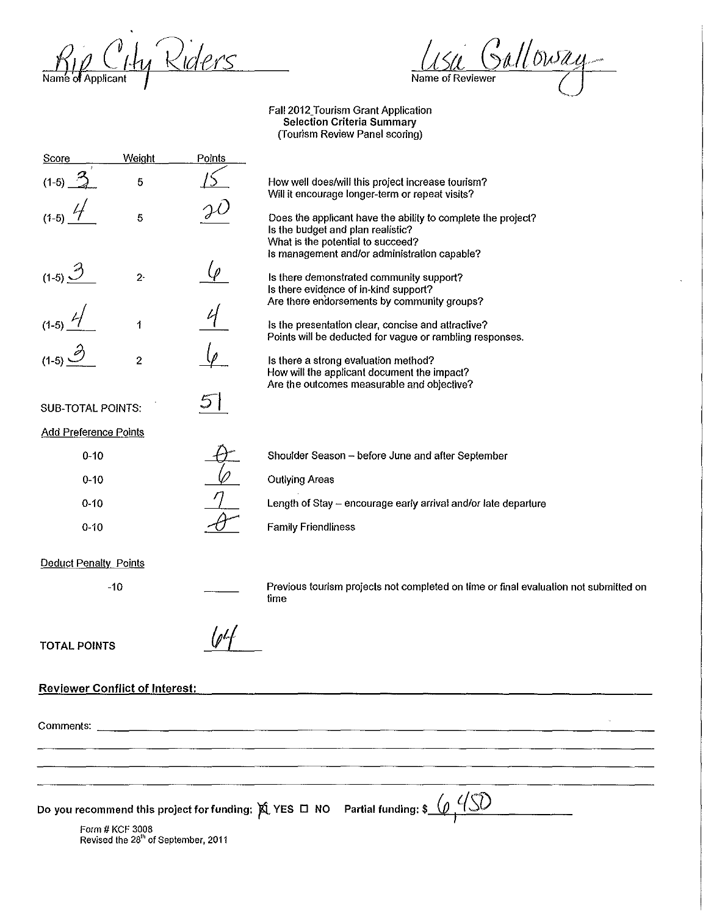Rip City Riders

Use Galloway

Fall 2012\_Tourism Grant Application Selection Criteria Summary (Tourism Review Panel scoring)

| Score                                 | <b>Weight</b>                                                      | Points |                                                                                                                                   |
|---------------------------------------|--------------------------------------------------------------------|--------|-----------------------------------------------------------------------------------------------------------------------------------|
| $(1-5)$                               | 5                                                                  |        | How well does/will this project increase tourism?<br>Will it encourage longer-term or repeat visits?                              |
|                                       | 5                                                                  |        | Does the applicant have the ability to complete the project?<br>Is the budget and plan realistic?                                 |
|                                       |                                                                    |        | What is the potential to succeed?<br>Is management and/or administration capable?                                                 |
| $(1-5)$ <sup>3</sup>                  | $2 -$                                                              |        | Is there demonstrated community support?<br>Is there evidence of in-kind support?                                                 |
|                                       | $\ddagger$                                                         |        | Are there endorsements by community groups?<br>is the presentation clear, concise and attractive?                                 |
|                                       |                                                                    |        | Points will be deducted for vague or rambling responses.                                                                          |
|                                       | $\overline{\mathbf{c}}$                                            |        | Is there a strong evaluation method?<br>How will the applicant document the impact?<br>Are the outcomes measurable and objective? |
| <b>SUB-TOTAL POINTS:</b>              |                                                                    |        |                                                                                                                                   |
| <b>Add Preference Points</b>          |                                                                    |        |                                                                                                                                   |
| $0 - 10$                              |                                                                    |        | Shoulder Season - before June and after September                                                                                 |
| $0 - 10$                              |                                                                    |        | <b>Outlying Areas</b>                                                                                                             |
| $0 - 10$                              |                                                                    |        | Length of Stay - encourage early arrival and/or late departure                                                                    |
| $0 - 10$                              |                                                                    |        | <b>Family Friendliness</b>                                                                                                        |
| Deduct Penalty Points                 |                                                                    |        |                                                                                                                                   |
|                                       | $-10$                                                              |        | Previous tourism projects not completed on time or final evaluation not submitted on<br>time                                      |
| <b>TOTAL POINTS</b>                   |                                                                    |        |                                                                                                                                   |
| <b>Reviewer Conflict of Interest:</b> |                                                                    |        |                                                                                                                                   |
|                                       |                                                                    |        |                                                                                                                                   |
|                                       |                                                                    |        |                                                                                                                                   |
|                                       |                                                                    |        |                                                                                                                                   |
|                                       |                                                                    |        |                                                                                                                                   |
|                                       |                                                                    |        | Do you recommend this project for funding: $\hat{X}$ YES $\Box$ NO Partial funding: \$                                            |
|                                       | Form # KCF 3008<br>Revised the 28 <sup>th</sup> of September, 2011 |        |                                                                                                                                   |
|                                       |                                                                    |        |                                                                                                                                   |